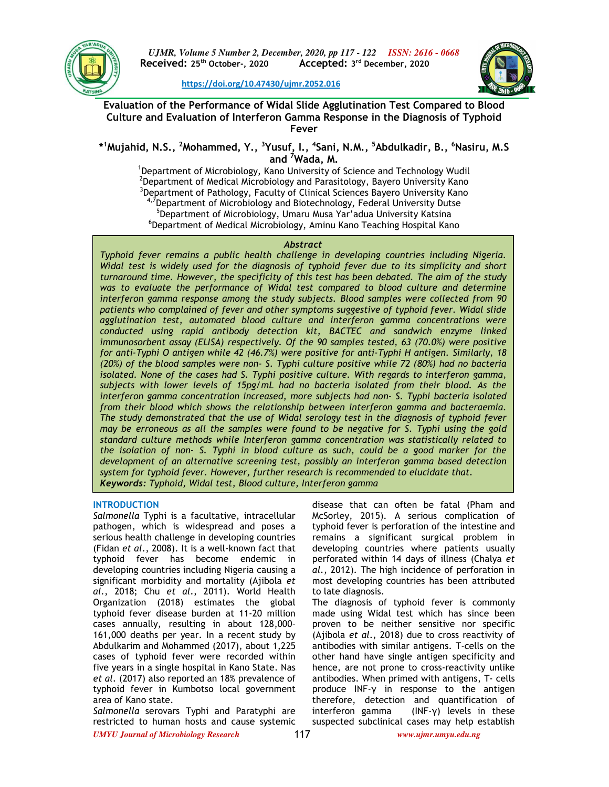

**https://doi.org/10.47430/ujmr.2052.016**



**Evaluation of the Performance of Widal Slide Agglutination Test Compared to Blood Culture and Evaluation of Interferon Gamma Response in the Diagnosis of Typhoid Fever**

**\* <sup>1</sup>Mujahid, N.S., <sup>2</sup>Mohammed, Y., <sup>3</sup>Yusuf, I., <sup>4</sup> Sani, N.M., <sup>5</sup>Abdulkadir, B., <sup>6</sup>Nasiru, M.S and <sup>7</sup>Wada, M.**

<sup>1</sup>Department of Microbiology, Kano University of Science and Technology Wudil  $^2$ Department of Medical Microbiology and Parasitology, Bayero University Kano <sup>3</sup>Department of Pathology, Faculty of Clinical Sciences Bayero University Kano  $4,7$ Department of Microbiology and Biotechnology, Federal University Dutse <sup>5</sup>Department of Microbiology, Umaru Musa Yar'adua University Katsina 6 Department of Medical Microbiology, Aminu Kano Teaching Hospital Kano

### *Abstract*

*Typhoid fever remains a public health challenge in developing countries including Nigeria. Widal test is widely used for the diagnosis of typhoid fever due to its simplicity and short turnaround time. However, the specificity of this test has been debated. The aim of the study was to evaluate the performance of Widal test compared to blood culture and determine interferon gamma response among the study subjects. Blood samples were collected from 90 patients who complained of fever and other symptoms suggestive of typhoid fever. Widal slide agglutination test, automated blood culture and interferon gamma concentrations were conducted using rapid antibody detection kit, BACTEC and sandwich enzyme linked immunosorbent assay (ELISA) respectively. Of the 90 samples tested, 63 (70.0%) were positive for anti-Typhi O antigen while 42 (46.7%) were positive for anti-Typhi H antigen. Similarly, 18 (20%) of the blood samples were non- S. Typhi culture positive while 72 (80%) had no bacteria isolated. None of the cases had S. Typhi positive culture. With regards to interferon gamma, subjects with lower levels of 15pg/mL had no bacteria isolated from their blood. As the interferon gamma concentration increased, more subjects had non- S. Typhi bacteria isolated from their blood which shows the relationship between interferon gamma and bacteraemia. The study demonstrated that the use of Widal serology test in the diagnosis of typhoid fever may be erroneous as all the samples were found to be negative for S. Typhi using the gold standard culture methods while Interferon gamma concentration was statistically related to the isolation of non- S. Typhi in blood culture as such, could be a good marker for the development of an alternative screening test, possibly an interferon gamma based detection system for typhoid fever. However, further research is recommended to elucidate that. Keywords: Typhoid, Widal test, Blood culture, Interferon gamma*

# **INTRODUCTION**

*Salmonella* Typhi is a facultative, intracellular pathogen, which is widespread and poses a serious health challenge in developing countries (Fidan *et al*., 2008). It is a well-known fact that typhoid fever has become endemic in developing countries including Nigeria causing a significant morbidity and mortality (Ajibola *et al*., 2018; Chu *et al*., 2011). World Health Organization (2018) estimates the global typhoid fever disease burden at 11-20 million cases annually, resulting in about 128,000– 161,000 deaths per year. In a recent study by Abdulkarim and Mohammed (2017), about 1,225 cases of typhoid fever were recorded within five years in a single hospital in Kano State. Nas *et al*. (2017) also reported an 18% prevalence of typhoid fever in Kumbotso local government area of Kano state.

*Salmonella* serovars Typhi and Paratyphi are restricted to human hosts and cause systemic

disease that can often be fatal (Pham and McSorley, 2015). A serious complication of typhoid fever is perforation of the intestine and remains a significant surgical problem in developing countries where patients usually perforated within 14 days of illness (Chalya *et al*., 2012). The high incidence of perforation in most developing countries has been attributed to late diagnosis.

The diagnosis of typhoid fever is commonly made using Widal test which has since been proven to be neither sensitive nor specific (Ajibola *et al*., 2018) due to cross reactivity of antibodies with similar antigens. T-cells on the other hand have single antigen specificity and hence, are not prone to cross-reactivity unlike antibodies. When primed with antigens, T- cells produce INF-γ in response to the antigen therefore, detection and quantification of interferon gamma (INF-γ) levels in these suspected subclinical cases may help establish

*UMYU Journal of Microbiology Research www.ujmr.umyu.edu.ng*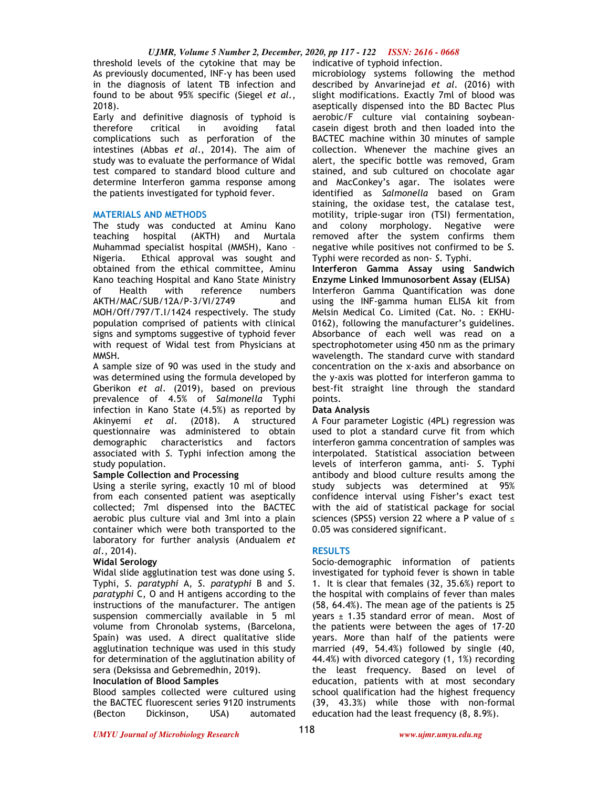threshold levels of the cytokine that may be indicative of typhoid infection. As previously documented, INF-γ has been used in the diagnosis of latent TB infection and found to be about 95% specific (Siegel *et al*., 2018).

Early and definitive diagnosis of typhoid is therefore critical in avoiding fatal complications such as perforation of the intestines (Abbas *et al*., 2014). The aim of study was to evaluate the performance of Widal test compared to standard blood culture and determine Interferon gamma response among the patients investigated for typhoid fever.

## **MATERIALS AND METHODS**

The study was conducted at Aminu Kano teaching hospital (AKTH) and Murtala Muhammad specialist hospital (MMSH), Kano – Nigeria. Ethical approval was sought and obtained from the ethical committee, Aminu Kano teaching Hospital and Kano State Ministry of Health with reference numbers AKTH/MAC/SUB/12A/P-3/VI/2749 and MOH/Off/797/T.I/1424 respectively. The study population comprised of patients with clinical signs and symptoms suggestive of typhoid fever with request of Widal test from Physicians at MMSH.

A sample size of 90 was used in the study and was determined using the formula developed by Gberikon *et al*. (2019), based on previous prevalence of 4.5% of *Salmonella* Typhi infection in Kano State (4.5%) as reported by Akinyemi *et al*. (2018). A structured questionnaire was administered to obtain demographic characteristics and factors associated with *S.* Typhi infection among the study population.

# **Sample Collection and Processing**

Using a sterile syring, exactly 10 ml of blood from each consented patient was aseptically collected; 7ml dispensed into the BACTEC aerobic plus culture vial and 3ml into a plain container which were both transported to the laboratory for further analysis (Andualem *et al*., 2014).

## **Widal Serology**

Widal slide agglutination test was done using *S*. Typhi, *S*. *paratyphi* A, *S*. *paratyphi* B and *S*. *paratyphi* C, O and H antigens according to the instructions of the manufacturer. The antigen suspension commercially available in 5 ml volume from Chronolab systems, (Barcelona, Spain) was used. A direct qualitative slide agglutination technique was used in this study for determination of the agglutination ability of sera (Deksissa and Gebremedhin, 2019).

#### **Inoculation of Blood Samples**

Blood samples collected were cultured using the BACTEC fluorescent series 9120 instruments (Becton Dickinson, USA) automated

microbiology systems following the method described by Anvarinejad *et al*. (2016) with slight modifications. Exactly 7ml of blood was aseptically dispensed into the BD Bactec Plus aerobic/F culture vial containing soybeancasein digest broth and then loaded into the BACTEC machine within 30 minutes of sample collection. Whenever the machine gives an alert, the specific bottle was removed, Gram stained, and sub cultured on chocolate agar and MacConkey's agar. The isolates were identified as *Salmonella* based on Gram staining, the oxidase test, the catalase test, motility, triple-sugar iron (TSI) fermentation, and colony morphology. Negative were removed after the system confirms them negative while positives not confirmed to be *S.*  Typhi were recorded as non- *S.* Typhi.

**Interferon Gamma Assay using Sandwich Enzyme Linked Immunosorbent Assay (ELISA)**  Interferon Gamma Quantification was done using the INF-gamma human ELISA kit from Melsin Medical Co. Limited (Cat. No. : EKHU-0162), following the manufacturer's guidelines. Absorbance of each well was read on a spectrophotometer using 450 nm as the primary wavelength. The standard curve with standard concentration on the x-axis and absorbance on the y-axis was plotted for interferon gamma to best-fit straight line through the standard points.

## **Data Analysis**

A Four parameter Logistic (4PL) regression was used to plot a standard curve fit from which interferon gamma concentration of samples was interpolated. Statistical association between levels of interferon gamma, anti- *S*. Typhi antibody and blood culture results among the study subjects was determined at 95% confidence interval using Fisher's exact test with the aid of statistical package for social sciences (SPSS) version 22 where a P value of ≤ 0.05 was considered significant.

## **RESULTS**

Socio-demographic information of patients investigated for typhoid fever is shown in table 1. It is clear that females (32, 35.6%) report to the hospital with complains of fever than males (58, 64.4%). The mean age of the patients is 25 years  $\pm$  1.35 standard error of mean. Most of the patients were between the ages of 17-20 years. More than half of the patients were married (49, 54.4%) followed by single (40, 44.4%) with divorced category (1, 1%) recording the least frequency. Based on level of education, patients with at most secondary school qualification had the highest frequency (39, 43.3%) while those with non-formal education had the least frequency (8, 8.9%).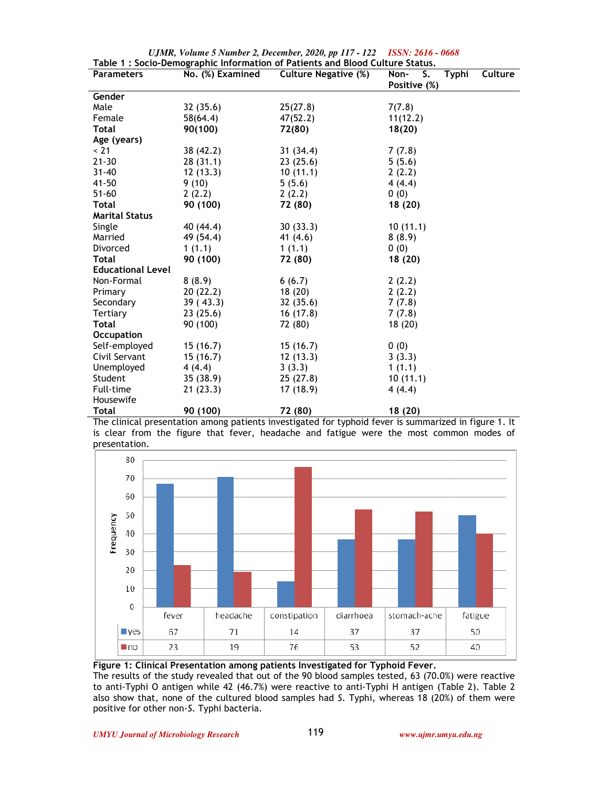| Table 1 : Socio-Demographic Information of Patients and Blood Culture Status. |                  |                             |                                       |  |  |  |  |  |
|-------------------------------------------------------------------------------|------------------|-----------------------------|---------------------------------------|--|--|--|--|--|
| <b>Parameters</b>                                                             | No. (%) Examined | <b>Culture Negative (%)</b> | Culture<br>Non-<br>S.<br><b>Typhi</b> |  |  |  |  |  |
|                                                                               |                  |                             | Positive (%)                          |  |  |  |  |  |
| Gender                                                                        |                  |                             |                                       |  |  |  |  |  |
| Male                                                                          | 32(35.6)         | 25(27.8)                    | 7(7.8)                                |  |  |  |  |  |
| Female                                                                        | 58(64.4)         | 47(52.2)                    | 11(12.2)                              |  |  |  |  |  |
| Total                                                                         | 90(100)          | 72(80)                      | 18(20)                                |  |  |  |  |  |
| Age (years)                                                                   |                  |                             |                                       |  |  |  |  |  |
| < 21                                                                          | 38 (42.2)        | 31 (34.4)                   | 7(7.8)                                |  |  |  |  |  |
| $21 - 30$                                                                     | 28(31.1)         | 23(25.6)                    | 5(5.6)                                |  |  |  |  |  |
| $31 - 40$                                                                     | 12(13.3)         | 10(11.1)                    | 2(2.2)                                |  |  |  |  |  |
| $41 - 50$                                                                     | 9(10)            | 5(5.6)                      | 4(4.4)                                |  |  |  |  |  |
| $51 - 60$                                                                     | 2(2.2)           | 2(2.2)                      | 0(0)                                  |  |  |  |  |  |
| <b>Total</b>                                                                  | 90 (100)         | 72 (80)                     | 18 (20)                               |  |  |  |  |  |
| <b>Marital Status</b>                                                         |                  |                             |                                       |  |  |  |  |  |
| Single                                                                        | 40 (44.4)        | 30(33.3)                    | 10(11.1)                              |  |  |  |  |  |
| Married                                                                       | 49 (54.4)        | 41 $(4.6)$                  | 8(8.9)                                |  |  |  |  |  |
| Divorced                                                                      | 1(1.1)           | 1(1.1)                      | 0(0)                                  |  |  |  |  |  |
| <b>Total</b>                                                                  | 90 (100)         | 72 (80)                     | 18 (20)                               |  |  |  |  |  |
| <b>Educational Level</b>                                                      |                  |                             |                                       |  |  |  |  |  |
| Non-Formal                                                                    | 8(8.9)           | 6(6.7)                      | 2(2.2)                                |  |  |  |  |  |
| Primary                                                                       | 20(22.2)         | 18(20)                      | 2(2.2)                                |  |  |  |  |  |
| Secondary                                                                     | 39(43.3)         | 32 (35.6)                   | 7(7.8)                                |  |  |  |  |  |
| Tertiary                                                                      | 23(25.6)         | 16(17.8)                    | 7(7.8)                                |  |  |  |  |  |
| <b>Total</b>                                                                  | 90 (100)         | 72 (80)                     | 18 (20)                               |  |  |  |  |  |
| <b>Occupation</b>                                                             |                  |                             |                                       |  |  |  |  |  |
| Self-employed                                                                 | 15 (16.7)        | 15(16.7)                    | 0(0)                                  |  |  |  |  |  |
| Civil Servant                                                                 | 15(16.7)         | 12(13.3)                    | 3(3.3)                                |  |  |  |  |  |
| Unemployed                                                                    | 4(4.4)           | 3(3.3)                      | 1(1.1)                                |  |  |  |  |  |
| Student                                                                       | 35(38.9)         | 25 (27.8)                   | 10(11.1)                              |  |  |  |  |  |
| Full-time                                                                     | 21(23.3)         | 17 (18.9)                   | 4(4.4)                                |  |  |  |  |  |
| Housewife                                                                     |                  |                             |                                       |  |  |  |  |  |
| <b>Total</b>                                                                  | 90 (100)         | 72 (80)                     | 18 (20)                               |  |  |  |  |  |

| UJMR, Volume 5 Number 2, December, 2020, pp 117 - 122 ISSN: 2616 - 0668       |  |  |  |  |
|-------------------------------------------------------------------------------|--|--|--|--|
| Table 1 : Socio-Demographic Information of Patients and Blood Culture Status. |  |  |  |  |

The clinical presentation among patients investigated for typhoid fever is summarized in figure 1. It The clinical presentation among patients investigated for typhoid fever is summarized in figure 1. It<br>is clear from the figure that fever, headache and fatigue were the most common modes of presentation.



# **Figure 1: Clinical Presentation among patients Investigated for Typhoid Fever. Figure 1: Clinical Presentation among patients Investigated for Typhoid Fever.**

The results of the study revealed that out of the 90 blood The results of the study revealed that out of the 90 blood samples tested, 63 (70.0%) were reactive to anti-Typhi O antigen while 42 (46.7%) were reactive to anti Typhi O antigen while 42 (46.7%) were reactive to anti-Typhi H antigen (Table 2). Table 2 also show that, none of the cultured blood samples had also show that, none of the cultured blood samples had *S.* Typhi, whereas 18 (20%) of them were positive for other non-*S.* Typhi bacteria. Typhi bacteria.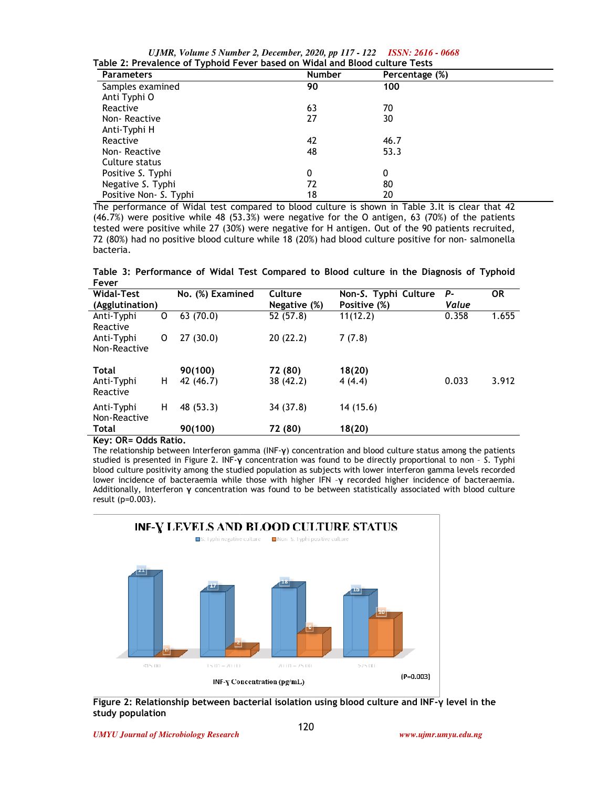*UJMR, Volume 5 Number 2, December, 2020, pp 117 - 122 ISSN: 2616 - 0668* **Table 2: Prevalence of Typhoid Fever based on Widal and Blood culture Tests**

| <b>Parameters</b>      | <b>Number</b> | Percentage (%) |  |
|------------------------|---------------|----------------|--|
| Samples examined       | 90            | 100            |  |
| Anti Typhi O           |               |                |  |
| Reactive               | 63            | 70             |  |
| Non-Reactive           | 27            | 30             |  |
| Anti-Typhi H           |               |                |  |
| Reactive               | 42            | 46.7           |  |
| Non-Reactive           | 48            | 53.3           |  |
| Culture status         |               |                |  |
| Positive S. Typhi      | 0             | 0              |  |
| Negative S. Typhi      | 72            | 80             |  |
| Positive Non- S. Typhi | 18            | 20             |  |

The performance of Widal test compared to blood culture is shown in Table 3.It is clear that 42 (46.7%) were positive while 48 (53.3%) were negative for the O antigen, 63 (70%) of the patients tested were positive while 27 (30%) were negative for H antigen. Out of the 90 patients 72 (80%) had no positive blood culture while 18 (20%) had blood culture positive for non- salmonella bacteria. : 48 (53.3%) were negative for the O antigen, 63 (70%) of the patients<br>27 (30%) were negative for H antigen. Out of the 90 patients recruited,<br>ood culture while 18 (20%) had blood culture positive for non- salmonella The performance of Widal test compared to blood culture is shown in Table 3.It is clear that 42<br>(46.7%) were positive while 48 (53.3%) were negative for the O antigen, 63 (70%) of the patients<br>tested were positive while 27

Table 3: Performance of Widal Test Compared to Blood culture in the Diagnosis of Typhoid<br>Fever<br>Widal-Test No. (%) Examined Culture Non-S. Typhi Culture *P-* OR **Fever**

| Widal-Test<br>(Agglutination)                                   | No. (%) Examined     | Culture<br>Negative (%) | Non-S. Typhi Culture<br>Positive (%) | Р-<br>Value | <b>OR</b> |
|-----------------------------------------------------------------|----------------------|-------------------------|--------------------------------------|-------------|-----------|
| Anti-Typhi<br>O<br>Reactive                                     | 63(70.0)             | 52 (57.8)               | 11(12.2)                             | 0.358       | 1.655     |
| Anti-Typhi<br>0<br>Non-Reactive                                 | 27(30.0)             | 20(22.2)                | 7(7.8)                               |             |           |
| Total<br>н<br>Anti-Typhi<br>Reactive                            | 90(100)<br>42 (46.7) | 72 (80)<br>38 (42.2)    | 18(20)<br>4(4.4)                     | 0.033       | 3.912     |
| н<br>Anti-Typhi<br>Non-Reactive                                 | 48 (53.3)            | 34 (37.8)               | 14 (15.6)                            |             |           |
| <b>Total</b><br>$\mathbf{r}$ and $\mathbf{r}$ is $\mathbf{r}$ . | 90(100)              | 72 (80)                 | 18(20)                               |             |           |

#### **Key: OR= Odds Ratio.**

The relationship between Interferon gamma (INF The relationship gamma (INF-**γ**) concentration and blood culture status among the patients studied is presented in Figure 2. INF-**γ** concentration was found to be directly proportional to non - S. Typhi blood culture positivity among the studied population as subjects with lower interferon gamma levels recorded blood culture positivity among the studied population as subjects with lower interferon gamma levels recorded<br>lower incidence of bacteraemia while those with higher IFN -**γ** recorded higher incidence of bacteraemia. Additionally, Interferon **γ** concentration was found to be between statistically associated with blood culture result (p=0.003).



**Figure 2: Relationship between bacterial isolation using blood culture and INF-γ level in the study population**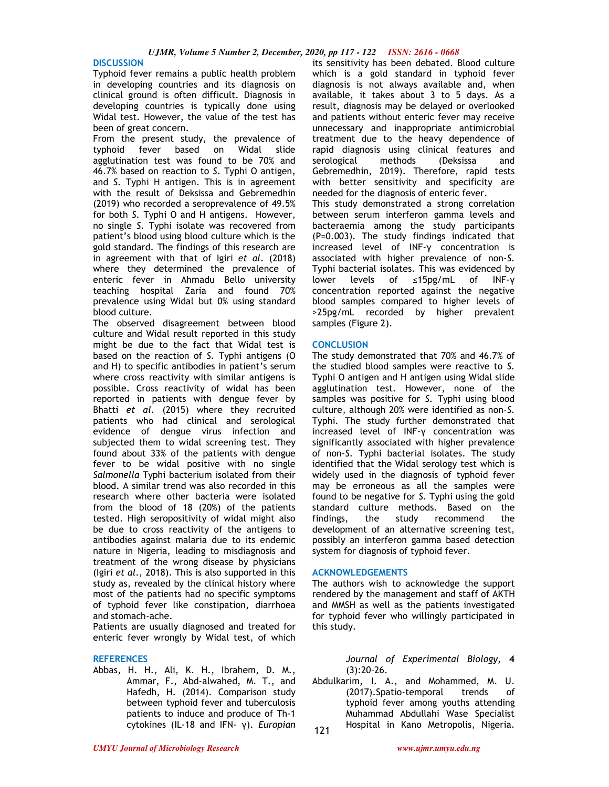#### **DISCUSSION**

Typhoid fever remains a public health problem in developing countries and its diagnosis on clinical ground is often difficult. Diagnosis in developing countries is typically done using Widal test. However, the value of the test has been of great concern.

From the present study, the prevalence of typhoid fever based on Widal slide agglutination test was found to be 70% and 46.7% based on reaction to *S.* Typhi O antigen, and *S.* Typhi H antigen. This is in agreement with the result of Deksissa and Gebremedhin (2019) who recorded a seroprevalence of 49.5% for both *S.* Typhi O and H antigens. However, no single *S.* Typhi isolate was recovered from patient's blood using blood culture which is the gold standard. The findings of this research are in agreement with that of Igiri *et al*. (2018) where they determined the prevalence of enteric fever in Ahmadu Bello university teaching hospital Zaria and found 70% prevalence using Widal but 0% using standard blood culture.

The observed disagreement between blood culture and Widal result reported in this study might be due to the fact that Widal test is based on the reaction of *S.* Typhi antigens (O and H) to specific antibodies in patient's serum where cross reactivity with similar antigens is possible. Cross reactivity of widal has been reported in patients with dengue fever by Bhatti *et al*. (2015) where they recruited patients who had clinical and serological evidence of dengue virus infection and subjected them to widal screening test. They found about 33% of the patients with dengue fever to be widal positive with no single *Salmonella* Typhi bacterium isolated from their blood. A similar trend was also recorded in this research where other bacteria were isolated from the blood of 18 (20%) of the patients tested. High seropositivity of widal might also be due to cross reactivity of the antigens to antibodies against malaria due to its endemic nature in Nigeria, leading to misdiagnosis and treatment of the wrong disease by physicians (Igiri *et al*., 2018). This is also supported in this study as, revealed by the clinical history where most of the patients had no specific symptoms of typhoid fever like constipation, diarrhoea and stomach-ache.

Patients are usually diagnosed and treated for enteric fever wrongly by Widal test, of which

#### **REFERENCES**

Abbas, H. H., Ali, K. H., Ibrahem, D. M., Ammar, F., Abd-alwahed, M. T., and Hafedh, H. (2014). Comparison study between typhoid fever and tuberculosis patients to induce and produce of Th-1 cytokines (IL-18 and IFN- γ). *Europian* 

its sensitivity has been debated. Blood culture which is a gold standard in typhoid fever diagnosis is not always available and, when available, it takes about 3 to 5 days. As a result, diagnosis may be delayed or overlooked and patients without enteric fever may receive unnecessary and inappropriate antimicrobial treatment due to the heavy dependence of rapid diagnosis using clinical features and serological methods (Deksissa and Gebremedhin, 2019). Therefore, rapid tests with better sensitivity and specificity are needed for the diagnosis of enteric fever.

This study demonstrated a strong correlation between serum interferon gamma levels and bacteraemia among the study participants (P=0.003). The study findings indicated that increased level of INF-γ concentration is associated with higher prevalence of non-*S.*  Typhi bacterial isolates. This was evidenced by lower levels of ≤15pg/mL of INF-γ concentration reported against the negative blood samples compared to higher levels of >25pg/mL recorded by higher prevalent samples (Figure 2).

### **CONCLUSION**

The study demonstrated that 70% and 46.7% of the studied blood samples were reactive to *S.*  Typhi O antigen and H antigen using Widal slide agglutination test. However, none of the samples was positive for *S.* Typhi using blood culture, although 20% were identified as non-*S.*  Typhi. The study further demonstrated that increased level of INF-γ concentration was significantly associated with higher prevalence of non-*S.* Typhi bacterial isolates. The study identified that the Widal serology test which is widely used in the diagnosis of typhoid fever may be erroneous as all the samples were found to be negative for *S.* Typhi using the gold standard culture methods. Based on the findings, the study recommend the development of an alternative screening test, possibly an interferon gamma based detection system for diagnosis of typhoid fever.

### **ACKNOWLEDGEMENTS**

The authors wish to acknowledge the support rendered by the management and staff of AKTH and MMSH as well as the patients investigated for typhoid fever who willingly participated in this study.

> *Journal of Experimental Biology*, **4**   $(3):20-26.$

Abdulkarim, I. A., and Mohammed, M. U. (2017).Spatio-temporal trends of typhoid fever among youths attending Muhammad Abdullahi Wase Specialist Hospital in Kano Metropolis, Nigeria.